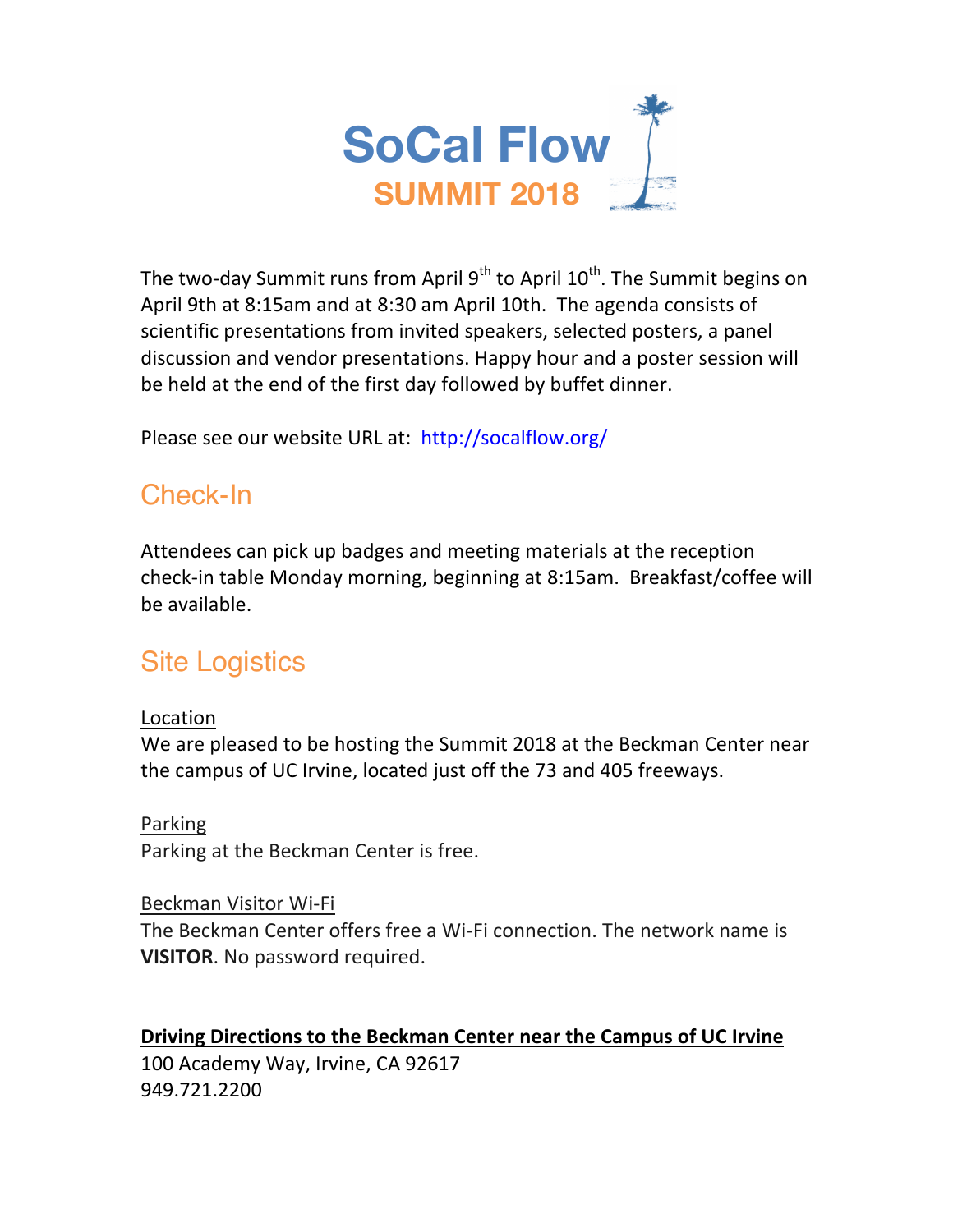

The two-day Summit runs from April  $9<sup>th</sup>$  to April  $10<sup>th</sup>$ . The Summit begins on April 9th at 8:15am and at 8:30 am April 10th. The agenda consists of scientific presentations from invited speakers, selected posters, a panel discussion and vendor presentations. Happy hour and a poster session will be held at the end of the first day followed by buffet dinner.

Please see our website URL at: http://socalflow.org/

## Check-In

Attendees can pick up badges and meeting materials at the reception check-in table Monday morning, beginning at 8:15am. Breakfast/coffee will be available.

# Site Logistics

### Location

We are pleased to be hosting the Summit 2018 at the Beckman Center near the campus of UC Irvine, located just off the 73 and 405 freeways.

### Parking

Parking at the Beckman Center is free.

### Beckman Visitor Wi-Fi

The Beckman Center offers free a Wi-Fi connection. The network name is **VISITOR.** No password required.

### **Driving Directions to the Beckman Center near the Campus of UC Irvine**

100 Academy Way, Irvine, CA 92617 949.721.2200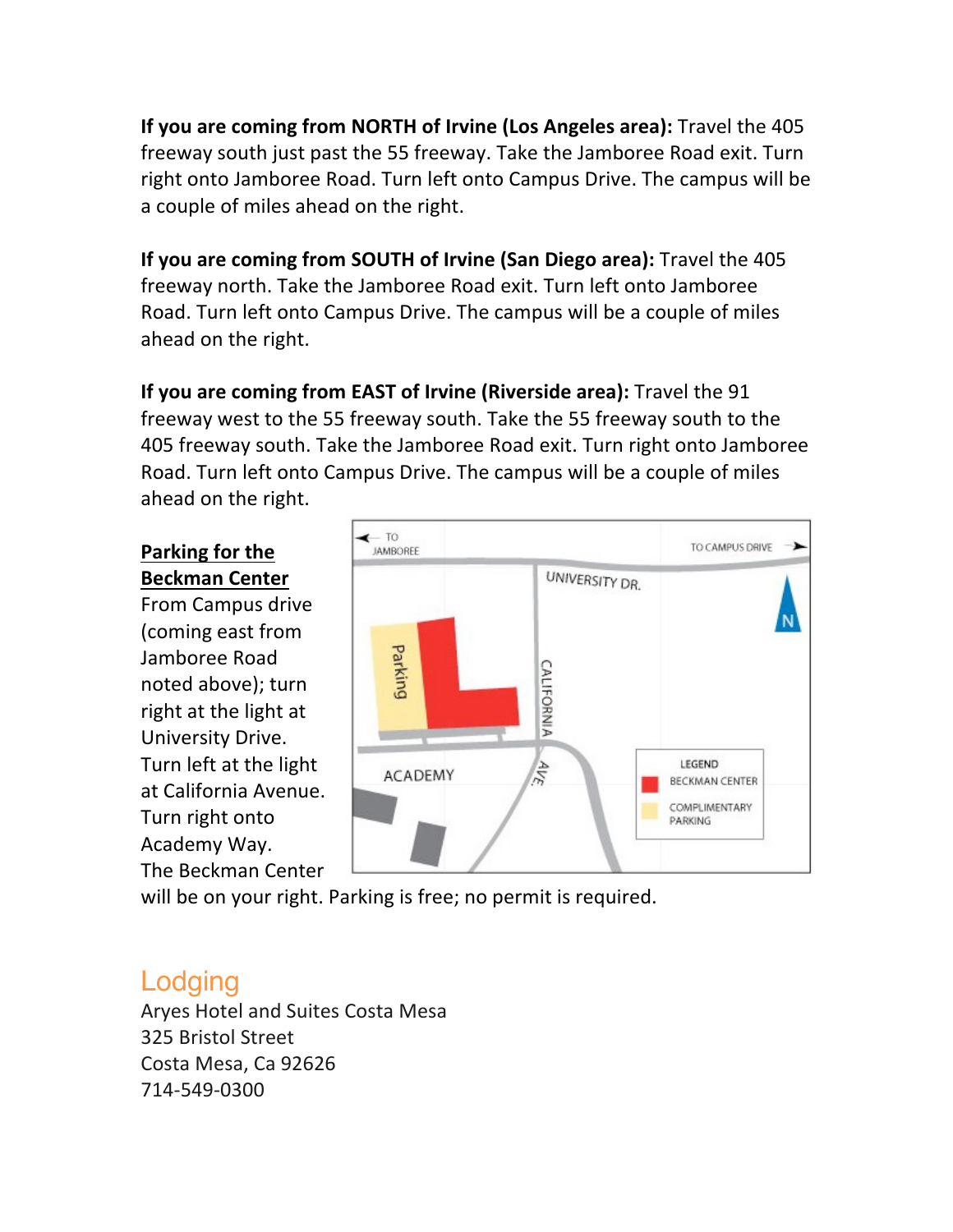**If you are coming from NORTH of Irvine (Los Angeles area):** Travel the 405 freeway south just past the 55 freeway. Take the Jamboree Road exit. Turn right onto Jamboree Road. Turn left onto Campus Drive. The campus will be a couple of miles ahead on the right.

**If you are coming from SOUTH of Irvine (San Diego area):** Travel the 405 freeway north. Take the Jamboree Road exit. Turn left onto Jamboree Road. Turn left onto Campus Drive. The campus will be a couple of miles ahead on the right.

**If you are coming from EAST of Irvine (Riverside area):** Travel the 91 freeway west to the 55 freeway south. Take the 55 freeway south to the 405 freeway south. Take the Jamboree Road exit. Turn right onto Jamboree Road. Turn left onto Campus Drive. The campus will be a couple of miles ahead on the right.

### **Parking for the Beckman Center**

From Campus drive (coming east from Jamboree Road noted above); turn right at the light at University Drive. Turn left at the light at California Avenue. Turn right onto Academy Way. The Beckman Center



will be on your right. Parking is free; no permit is required.

## Lodging

Aryes Hotel and Suites Costa Mesa 325 Bristol Street Costa Mesa, Ca 92626 714-549-0300